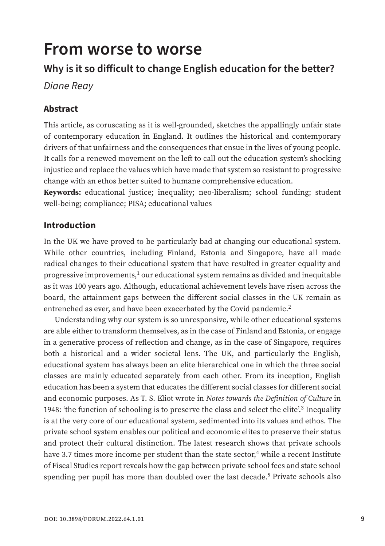# **From worse to worse**

## **Why is it so difficult to change English education for the better?**

*Diane Reay*

## **Abstract**

This article, as coruscating as it is well-grounded, sketches the appallingly unfair state of contemporary education in England. It outlines the historical and contemporary drivers of that unfairness and the consequences that ensue in the lives of young people. It calls for a renewed movement on the left to call out the education system's shocking injustice and replace the values which have made that system so resistant to progressive change with an ethos better suited to humane comprehensive education.

**Keywords:** educational justice; inequality; neo-liberalism; school funding; student well-being; compliance; PISA; educational values

### **Introduction**

In the UK we have proved to be particularly bad at changing our educational system. While other countries, including Finland, Estonia and Singapore, have all made radical changes to their educational system that have resulted in greater equality and progressive improvements, $1$  our educational system remains as divided and inequitable as it was 100 years ago. Although, educational achievement levels have risen across the board, the attainment gaps between the different social classes in the UK remain as entrenched as ever, and have been exacerbated by the Covid pandemic.<sup>2</sup>

Understanding why our system is so unresponsive, while other educational systems are able either to transform themselves, as in the case of Finland and Estonia, or engage in a generative process of reflection and change, as in the case of Singapore, requires both a historical and a wider societal lens. The UK, and particularly the English, educational system has always been an elite hierarchical one in which the three social classes are mainly educated separately from each other. From its inception, English education has been a system that educates the different social classes for different social and economic purposes. As T. S. Eliot wrote in *Notes towards the Definition of Culture* in 1948: 'the function of schooling is to preserve the class and select the elite'.3 Inequality is at the very core of our educational system, sedimented into its values and ethos. The private school system enables our political and economic elites to preserve their status and protect their cultural distinction. The latest research shows that private schools have 3.7 times more income per student than the state sector, $4$  while a recent Institute of Fiscal Studies report reveals how the gap between private school fees and state school spending per pupil has more than doubled over the last decade.5 Private schools also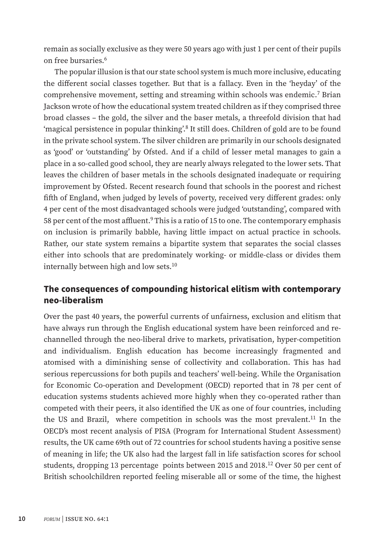remain as socially exclusive as they were 50 years ago with just 1 per cent of their pupils on free bursaries.6

The popular illusion is that our state school system is much more inclusive, educating the different social classes together. But that is a fallacy. Even in the 'heyday' of the comprehensive movement, setting and streaming within schools was endemic.7 Brian Jackson wrote of how the educational system treated children as if they comprised three broad classes – the gold, the silver and the baser metals, a threefold division that had 'magical persistence in popular thinking'.8 It still does. Children of gold are to be found in the private school system. The silver children are primarily in our schools designated as 'good' or 'outstanding' by Ofsted. And if a child of lesser metal manages to gain a place in a so-called good school, they are nearly always relegated to the lower sets. That leaves the children of baser metals in the schools designated inadequate or requiring improvement by Ofsted. Recent research found that schools in the poorest and richest fifth of England, when judged by levels of poverty, received very different grades: only 4 per cent of the most disadvantaged schools were judged 'outstanding', compared with 58 per cent of the most affluent.<sup>9</sup> This is a ratio of 15 to one. The contemporary emphasis on inclusion is primarily babble, having little impact on actual practice in schools. Rather, our state system remains a bipartite system that separates the social classes either into schools that are predominately working- or middle-class or divides them internally between high and low sets.<sup>10</sup>

## **The consequences of compounding historical elitism with contemporary neo-liberalism**

Over the past 40 years, the powerful currents of unfairness, exclusion and elitism that have always run through the English educational system have been reinforced and rechannelled through the neo-liberal drive to markets, privatisation, hyper-competition and individualism. English education has become increasingly fragmented and atomised with a diminishing sense of collectivity and collaboration. This has had serious repercussions for both pupils and teachers' well-being. While the Organisation for Economic Co-operation and Development (OECD) reported that in 78 per cent of education systems students achieved more highly when they co-operated rather than competed with their peers, it also identified the UK as one of four countries, including the US and Brazil, where competition in schools was the most prevalent.11 In the OECD's most recent analysis of PISA (Program for International Student Assessment) results, the UK came 69th out of 72 countries for school students having a positive sense of meaning in life; the UK also had the largest fall in life satisfaction scores for school students, dropping 13 percentage points between 2015 and 2018.12 Over 50 per cent of British schoolchildren reported feeling miserable all or some of the time, the highest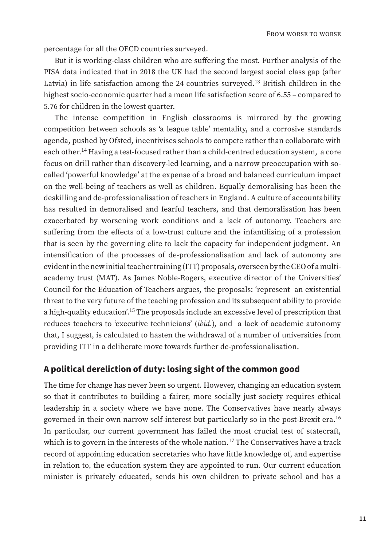percentage for all the OECD countries surveyed.

But it is working-class children who are suffering the most. Further analysis of the PISA data indicated that in 2018 the UK had the second largest social class gap (after Latvia) in life satisfaction among the 24 countries surveyed.<sup>13</sup> British children in the highest socio-economic quarter had a mean life satisfaction score of 6.55 – compared to 5.76 for children in the lowest quarter.

The intense competition in English classrooms is mirrored by the growing competition between schools as 'a league table' mentality, and a corrosive standards agenda, pushed by Ofsted, incentivises schools to compete rather than collaborate with each other.14 Having a test-focused rather than a child-centred education system, a core focus on drill rather than discovery-led learning, and a narrow preoccupation with socalled 'powerful knowledge' at the expense of a broad and balanced curriculum impact on the well-being of teachers as well as children. Equally demoralising has been the deskilling and de-professionalisation of teachers in England. A culture of accountability has resulted in demoralised and fearful teachers, and that demoralisation has been exacerbated by worsening work conditions and a lack of autonomy. Teachers are suffering from the effects of a low-trust culture and the infantilising of a profession that is seen by the governing elite to lack the capacity for independent judgment. An intensification of the processes of de-professionalisation and lack of autonomy are evident in the new initial teacher training (ITT) proposals, overseen by the CEO of a multiacademy trust (MAT). As James Noble-Rogers, executive director of the Universities' Council for the Education of Teachers argues, the proposals: 'represent an existential threat to the very future of the teaching profession and its subsequent ability to provide a high-quality education'.15 The proposals include an excessive level of prescription that reduces teachers to 'executive technicians' (*ibid.*), and a lack of academic autonomy that, I suggest, is calculated to hasten the withdrawal of a number of universities from providing ITT in a deliberate move towards further de-professionalisation.

#### **A political dereliction of duty: losing sight of the common good**

The time for change has never been so urgent. However, changing an education system so that it contributes to building a fairer, more socially just society requires ethical leadership in a society where we have none. The Conservatives have nearly always governed in their own narrow self-interest but particularly so in the post-Brexit era.<sup>16</sup> In particular, our current government has failed the most crucial test of statecraft, which is to govern in the interests of the whole nation.<sup>17</sup> The Conservatives have a track record of appointing education secretaries who have little knowledge of, and expertise in relation to, the education system they are appointed to run. Our current education minister is privately educated, sends his own children to private school and has a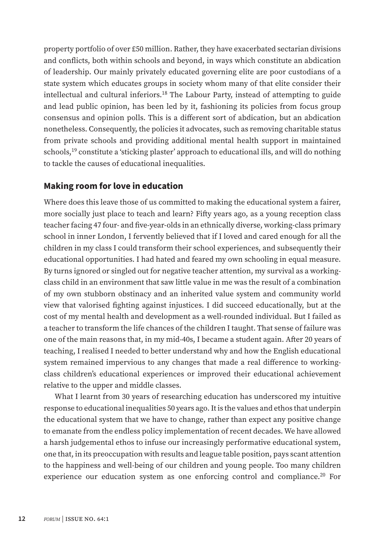property portfolio of over £50 million. Rather, they have exacerbated sectarian divisions and conflicts, both within schools and beyond, in ways which constitute an abdication of leadership. Our mainly privately educated governing elite are poor custodians of a state system which educates groups in society whom many of that elite consider their intellectual and cultural inferiors.18 The Labour Party, instead of attempting to guide and lead public opinion, has been led by it, fashioning its policies from focus group consensus and opinion polls. This is a different sort of abdication, but an abdication nonetheless. Consequently, the policies it advocates, such as removing charitable status from private schools and providing additional mental health support in maintained schools,19 constitute a 'sticking plaster' approach to educational ills, and will do nothing to tackle the causes of educational inequalities.

#### **Making room for love in education**

Where does this leave those of us committed to making the educational system a fairer, more socially just place to teach and learn? Fifty years ago, as a young reception class teacher facing 47 four- and five-year-olds in an ethnically diverse, working-class primary school in inner London, I fervently believed that if I loved and cared enough for all the children in my class I could transform their school experiences, and subsequently their educational opportunities. I had hated and feared my own schooling in equal measure. By turns ignored or singled out for negative teacher attention, my survival as a workingclass child in an environment that saw little value in me was the result of a combination of my own stubborn obstinacy and an inherited value system and community world view that valorised fighting against injustices. I did succeed educationally, but at the cost of my mental health and development as a well-rounded individual. But I failed as a teacher to transform the life chances of the children I taught. That sense of failure was one of the main reasons that, in my mid-40s, I became a student again. After 20 years of teaching, I realised I needed to better understand why and how the English educational system remained impervious to any changes that made a real difference to workingclass children's educational experiences or improved their educational achievement relative to the upper and middle classes.

What I learnt from 30 years of researching education has underscored my intuitive response to educational inequalities 50 years ago. It is the values and ethos that underpin the educational system that we have to change, rather than expect any positive change to emanate from the endless policy implementation of recent decades. We have allowed a harsh judgemental ethos to infuse our increasingly performative educational system, one that, in its preoccupation with results and league table position, pays scant attention to the happiness and well-being of our children and young people. Too many children experience our education system as one enforcing control and compliance.<sup>20</sup> For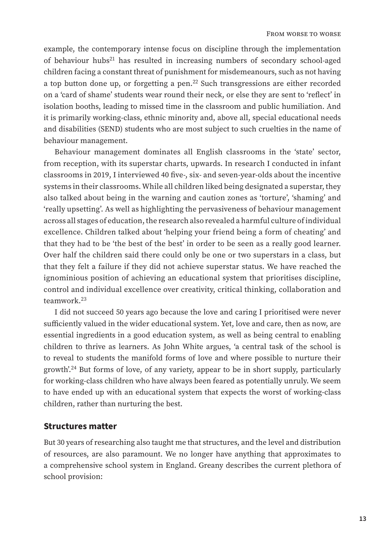example, the contemporary intense focus on discipline through the implementation of behaviour hubs21 has resulted in increasing numbers of secondary school-aged children facing a constant threat of punishment for misdemeanours, such as not having a top button done up, or forgetting a pen.<sup>22</sup> Such transgressions are either recorded on a 'card of shame' students wear round their neck, or else they are sent to 'reflect' in isolation booths, leading to missed time in the classroom and public humiliation. And it is primarily working-class, ethnic minority and, above all, special educational needs and disabilities (SEND) students who are most subject to such cruelties in the name of behaviour management.

Behaviour management dominates all English classrooms in the 'state' sector, from reception, with its superstar charts, upwards. In research I conducted in infant classrooms in 2019, I interviewed 40 five-, six- and seven-year-olds about the incentive systems in their classrooms. While all children liked being designated a superstar, they also talked about being in the warning and caution zones as 'torture', 'shaming' and 'really upsetting'. As well as highlighting the pervasiveness of behaviour management across all stages of education, the research also revealed a harmful culture of individual excellence. Children talked about 'helping your friend being a form of cheating' and that they had to be 'the best of the best' in order to be seen as a really good learner. Over half the children said there could only be one or two superstars in a class, but that they felt a failure if they did not achieve superstar status. We have reached the ignominious position of achieving an educational system that prioritises discipline, control and individual excellence over creativity, critical thinking, collaboration and teamwork.23

I did not succeed 50 years ago because the love and caring I prioritised were never sufficiently valued in the wider educational system. Yet, love and care, then as now, are essential ingredients in a good education system, as well as being central to enabling children to thrive as learners. As John White argues, 'a central task of the school is to reveal to students the manifold forms of love and where possible to nurture their growth'.24 But forms of love, of any variety, appear to be in short supply, particularly for working-class children who have always been feared as potentially unruly. We seem to have ended up with an educational system that expects the worst of working-class children, rather than nurturing the best.

#### **Structures matter**

But 30 years of researching also taught me that structures, and the level and distribution of resources, are also paramount. We no longer have anything that approximates to a comprehensive school system in England. Greany describes the current plethora of school provision: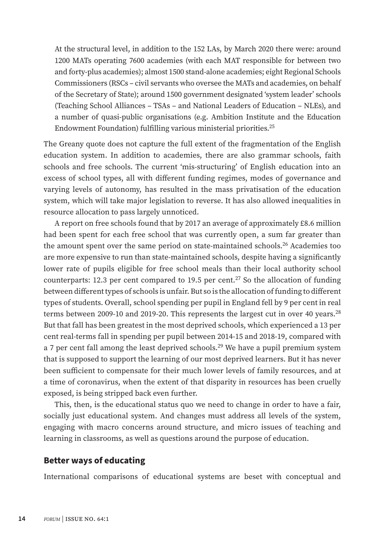At the structural level, in addition to the 152 LAs, by March 2020 there were: around 1200 MATs operating 7600 academies (with each MAT responsible for between two and forty-plus academies); almost 1500 stand-alone academies; eight Regional Schools Commissioners (RSCs – civil servants who oversee the MATs and academies, on behalf of the Secretary of State); around 1500 government designated 'system leader' schools (Teaching School Alliances – TSAs – and National Leaders of Education – NLEs), and a number of quasi-public organisations (e.g. Ambition Institute and the Education Endowment Foundation) fulfilling various ministerial priorities.25

The Greany quote does not capture the full extent of the fragmentation of the English education system. In addition to academies, there are also grammar schools, faith schools and free schools. The current 'mis-structuring' of English education into an excess of school types, all with different funding regimes, modes of governance and varying levels of autonomy, has resulted in the mass privatisation of the education system, which will take major legislation to reverse. It has also allowed inequalities in resource allocation to pass largely unnoticed.

A report on free schools found that by 2017 an average of approximately £8.6 million had been spent for each free school that was currently open, a sum far greater than the amount spent over the same period on state-maintained schools.<sup>26</sup> Academies too are more expensive to run than state-maintained schools, despite having a significantly lower rate of pupils eligible for free school meals than their local authority school counterparts: 12.3 per cent compared to 19.5 per cent.<sup>27</sup> So the allocation of funding between different types of schools is unfair. But so is the allocation of funding to different types of students. Overall, school spending per pupil in England fell by 9 per cent in real terms between 2009-10 and 2019-20. This represents the largest cut in over 40 years.<sup>28</sup> But that fall has been greatest in the most deprived schools, which experienced a 13 per cent real-terms fall in spending per pupil between 2014-15 and 2018-19, compared with a 7 per cent fall among the least deprived schools.<sup>29</sup> We have a pupil premium system that is supposed to support the learning of our most deprived learners. But it has never been sufficient to compensate for their much lower levels of family resources, and at a time of coronavirus, when the extent of that disparity in resources has been cruelly exposed, is being stripped back even further.

This, then, is the educational status quo we need to change in order to have a fair, socially just educational system. And changes must address all levels of the system, engaging with macro concerns around structure, and micro issues of teaching and learning in classrooms, as well as questions around the purpose of education.

#### **Better ways of educating**

International comparisons of educational systems are beset with conceptual and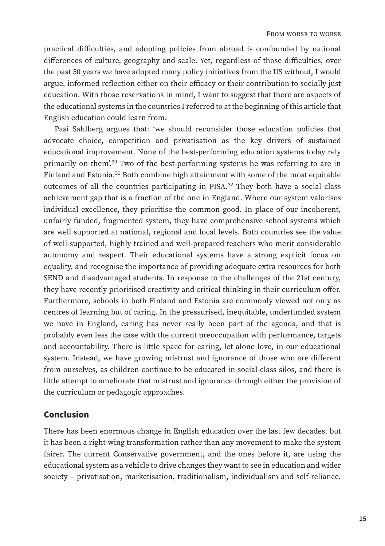practical difficulties, and adopting policies from abroad is confounded by national differences of culture, geography and scale. Yet, regardless of those difficulties, over the past 50 years we have adopted many policy initiatives from the US without, I would argue, informed reflection either on their efficacy or their contribution to socially just education. With those reservations in mind, I want to suggest that there are aspects of the educational systems in the countries I referred to at the beginning of this article that English education could learn from.

Pasi Sahlberg argues that: 'we should reconsider those education policies that advocate choice, competition and privatisation as the key drivers of sustained educational improvement. None of the best-performing education systems today rely primarily on them'.30 Two of the best-performing systems he was referring to are in Finland and Estonia.31 Both combine high attainment with some of the most equitable outcomes of all the countries participating in  $PISA.<sup>32</sup>$  They both have a social class achievement gap that is a fraction of the one in England. Where our system valorises individual excellence, they prioritise the common good. In place of our incoherent, unfairly funded, fragmented system, they have comprehensive school systems which are well supported at national, regional and local levels. Both countries see the value of well-supported, highly trained and well-prepared teachers who merit considerable autonomy and respect. Their educational systems have a strong explicit focus on equality, and recognise the importance of providing adequate extra resources for both SEND and disadvantaged students. In response to the challenges of the 21st century, they have recently prioritised creativity and critical thinking in their curriculum offer. Furthermore, schools in both Finland and Estonia are commonly viewed not only as centres of learning but of caring. In the pressurised, inequitable, underfunded system we have in England, caring has never really been part of the agenda, and that is probably even less the case with the current preoccupation with performance, targets and accountability. There is little space for caring, let alone love, in our educational system. Instead, we have growing mistrust and ignorance of those who are different from ourselves, as children continue to be educated in social-class silos, and there is little attempt to ameliorate that mistrust and ignorance through either the provision of the curriculum or pedagogic approaches.

#### **Conclusion**

There has been enormous change in English education over the last few decades, but it has been a right-wing transformation rather than any movement to make the system fairer. The current Conservative government, and the ones before it, are using the educational system as a vehicle to drive changes they want to see in education and wider society – privatisation, marketisation, traditionalism, individualism and self-reliance.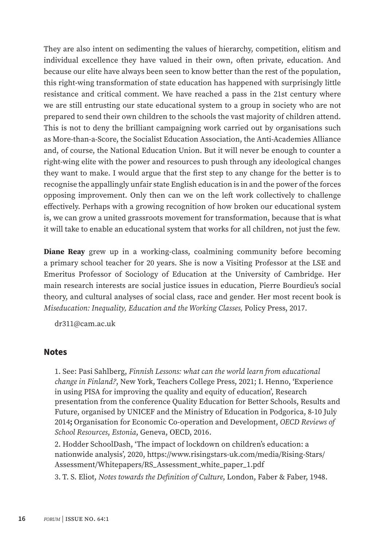They are also intent on sedimenting the values of hierarchy, competition, elitism and individual excellence they have valued in their own, often private, education. And because our elite have always been seen to know better than the rest of the population, this right-wing transformation of state education has happened with surprisingly little resistance and critical comment. We have reached a pass in the 21st century where we are still entrusting our state educational system to a group in society who are not prepared to send their own children to the schools the vast majority of children attend. This is not to deny the brilliant campaigning work carried out by organisations such as More-than-a-Score, the Socialist Education Association, the Anti-Academies Alliance and, of course, the National Education Union. But it will never be enough to counter a right-wing elite with the power and resources to push through any ideological changes they want to make. I would argue that the first step to any change for the better is to recognise the appallingly unfair state English education is in and the power of the forces opposing improvement. Only then can we on the left work collectively to challenge effectively. Perhaps with a growing recognition of how broken our educational system is, we can grow a united grassroots movement for transformation, because that is what it will take to enable an educational system that works for all children, not just the few.

**Diane Reay** grew up in a working-class, coalmining community before becoming a primary school teacher for 20 years. She is now a Visiting Professor at the LSE and Emeritus Professor of Sociology of Education at the University of Cambridge. Her main research interests are social justice issues in education, Pierre Bourdieu's social theory, and cultural analyses of social class, race and gender. Her most recent book is *Miseducation: Inequality, Education and the Working Classes,* Policy Press, 2017.

dr311@cam.ac.uk

#### **Notes**

1. See: Pasi Sahlberg, *Finnish Lessons: what can the world learn from educational change in Finland?*, New York, Teachers College Press, 2021; I. Henno, 'Experience in using PISA for improving the quality and equity of education', Research presentation from the conference Quality Education for Better Schools, Results and Future, organised by UNICEF and the Ministry of Education in Podgorica, 8-10 July 2014**;** Organisation for Economic Co-operation and Development, *OECD Reviews of School Resources*, *Estonia*, Geneva, OECD, 2016.

2. Hodder SchoolDash, 'The impact of lockdown on children's education: a [nationwide analysis', 2020, https://www.risingstars-uk.com/media/Rising-Stars/](https://www.risingstars-uk.com/media/Rising-Stars/Assessment/Whitepapers/RS_Assessment_white_paper_1.pdf) Assessment/Whitepapers/RS\_Assessment\_white\_paper\_1.pdf

3. T. S. Eliot, *Notes towards the Definition of Culture*, London, Faber & Faber, 1948.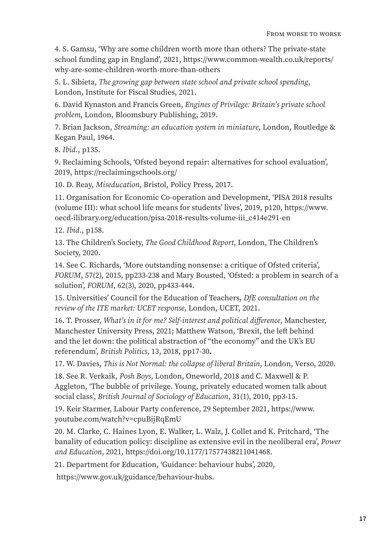4. S. Gamsu, 'Why are some children worth more than others? The private-state [school funding gap in England', 2021, https://www.common-wealth.co.uk/reports/](https://www.common-wealth.co.uk/reports/why-are-some-children-worth-more-than-others) why-are-some-children-worth-more-than-others

5. L. Sibieta, *The growing gap between state school and private school spending*, London, Institute for Fiscal Studies, 2021.

6. David Kynaston and Francis Green, *Engines of Privilege: Britain's private school problem*, London, Bloomsbury Publishing, 2019.

7. Brian Jackson, *Streaming: an education system in miniature*, London, Routledge & Kegan Paul, 1964.

8. *Ibid*., p135.

9. Reclaiming Schools, 'Ofsted beyond repair: alternatives for school evaluation', [2019, https://reclaimingschools.org/](https://reclaimingschools.wordpress.com/)

10. D. Reay, *Miseducation*, Bristol, Policy Press, 2017.

11. Organisation for Economic Co-operation and Development, 'PISA 2018 results [\(volume III\): what school life means for students' lives', 2019, p120, https://www.](https://www.oecd-ilibrary.org/education/pisa-2018-results-volume-iii_c414e291-en) oecd-ilibrary.org/education/pisa-2018-results-volume-iii\_c414e291-en

12. *Ibid*., p158.

13. The Children's Society, *The Good Childhood Report*, London, The Children's Society, 2020.

14. See C. Richards, 'More outstanding nonsense: a critique of Ofsted criteria', *FORUM*, 57(2), 2015, pp233-238 and Mary Bousted, 'Ofsted: a problem in search of a solution', *FORUM*, 62(3), 2020, pp433-444.

15. Universities' Council for the Education of Teachers, *DfE consultation on the review of the ITE market: UCET response*, London, UCET, 2021.

16. T. Prosser, *What's in it for me? Self-interest and political difference*, Manchester, Manchester University Press, 2021; Matthew Watson, 'Brexit, the left behind and the let down: the political abstraction of "the economy" and the UK's EU referendum', *British Politics*, 13, 2018, pp17-30**.**

17. W. Davies, *This is Not Normal: the collapse of liberal Britain*, London, Verso, 2020.

18. See R. Verkaik, *Posh Boys*, London, Oneworld, 2018 and C. Maxwell & P. Aggleton, 'The bubble of privilege. Young, privately educated women talk about social class', *British Journal of Sociology of Education*, 31(1), 2010, pp3-15.

[19. Keir Starmer, Labour Party conference, 29 September 2021, https://www.](https://www.youtube.com/watch?v=cpuBijRqEmU) youtube.com/watch?v=cpuBijRqEmU

20. M. Clarke, C. Haines Lyon, E. Walker, L. Walz, J. Collet and K. Pritchard, 'The banality of education policy: discipline as extensive evil in the neoliberal era', *Power and Education*, 2021[, https://doi.org/10.1177/17577438211041468.](https://doi.org/10.1177/17577438211041468)

21. Department for Education, 'Guidance: behaviour hubs', 2020,

 [https://www.gov.uk/guidance/behavio](https://www.gov.uk/guidance/behaviour-hubs)ur-hubs.